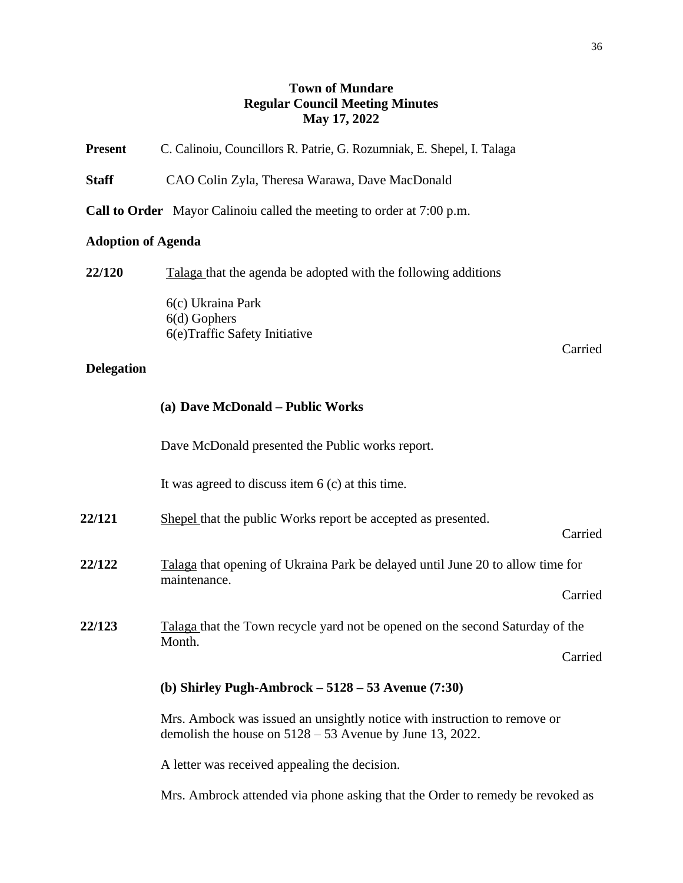## **Town of Mundare Regular Council Meeting Minutes May 17, 2022**

| <b>Present</b>            | C. Calinoiu, Councillors R. Patrie, G. Rozumniak, E. Shepel, I. Talaga                                                                 |  |  |
|---------------------------|----------------------------------------------------------------------------------------------------------------------------------------|--|--|
| <b>Staff</b>              | CAO Colin Zyla, Theresa Warawa, Dave MacDonald                                                                                         |  |  |
|                           | Call to Order Mayor Calinoiu called the meeting to order at 7:00 p.m.                                                                  |  |  |
| <b>Adoption of Agenda</b> |                                                                                                                                        |  |  |
| 22/120                    | Talaga that the agenda be adopted with the following additions                                                                         |  |  |
| <b>Delegation</b>         | 6(c) Ukraina Park<br>$6(d)$ Gophers<br>6(e)Traffic Safety Initiative<br>Carried                                                        |  |  |
|                           | (a) Dave McDonald - Public Works                                                                                                       |  |  |
|                           | Dave McDonald presented the Public works report.                                                                                       |  |  |
|                           | It was agreed to discuss item $6$ (c) at this time.                                                                                    |  |  |
| 22/121                    | Shepel that the public Works report be accepted as presented.<br>Carried                                                               |  |  |
| 22/122                    | Talaga that opening of Ukraina Park be delayed until June 20 to allow time for<br>maintenance.                                         |  |  |
|                           | Carried                                                                                                                                |  |  |
| 22/123                    | Talaga that the Town recycle yard not be opened on the second Saturday of the<br>Month.                                                |  |  |
|                           | Carried                                                                                                                                |  |  |
|                           | (b) Shirley Pugh-Ambrock $-5128 - 53$ Avenue (7:30)                                                                                    |  |  |
|                           | Mrs. Ambock was issued an unsightly notice with instruction to remove or<br>demolish the house on $5128 - 53$ Avenue by June 13, 2022. |  |  |
|                           | A letter was received appealing the decision.                                                                                          |  |  |

Mrs. Ambrock attended via phone asking that the Order to remedy be revoked as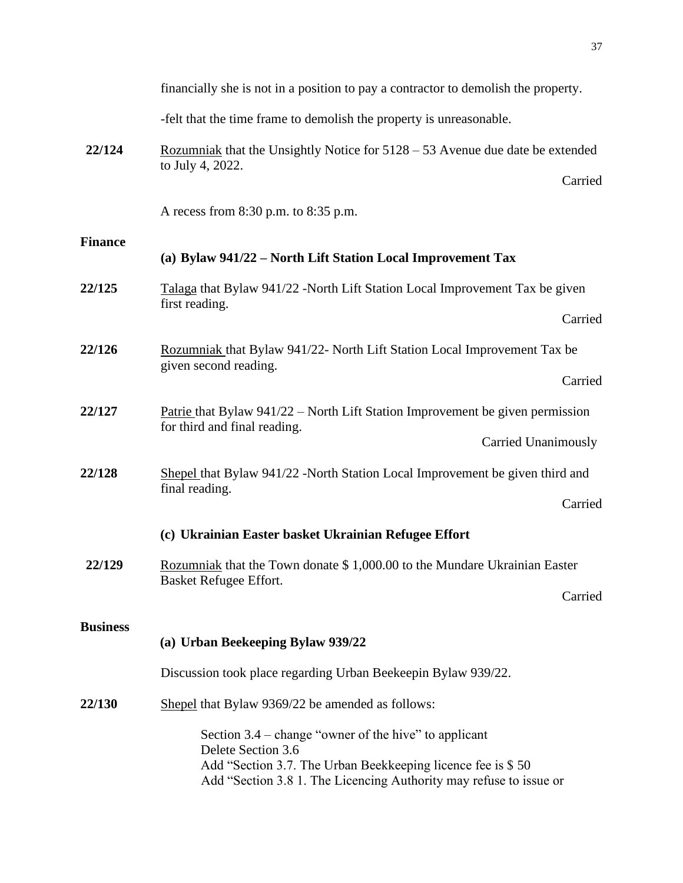|                 | financially she is not in a position to pay a contractor to demolish the property.                                                                                                                                 |
|-----------------|--------------------------------------------------------------------------------------------------------------------------------------------------------------------------------------------------------------------|
|                 | -felt that the time frame to demolish the property is unreasonable.                                                                                                                                                |
| 22/124          | <u>Rozumniak</u> that the Unsightly Notice for $5128 - 53$ Avenue due date be extended<br>to July 4, 2022.<br>Carried                                                                                              |
|                 | A recess from 8:30 p.m. to 8:35 p.m.                                                                                                                                                                               |
| <b>Finance</b>  | (a) Bylaw 941/22 - North Lift Station Local Improvement Tax                                                                                                                                                        |
| 22/125          | Talaga that Bylaw 941/22 -North Lift Station Local Improvement Tax be given<br>first reading.                                                                                                                      |
|                 | Carried                                                                                                                                                                                                            |
| 22/126          | Rozumniak that Bylaw 941/22- North Lift Station Local Improvement Tax be<br>given second reading.                                                                                                                  |
|                 | Carried                                                                                                                                                                                                            |
| 22/127          | Patrie that Bylaw $941/22$ – North Lift Station Improvement be given permission<br>for third and final reading.                                                                                                    |
|                 | <b>Carried Unanimously</b>                                                                                                                                                                                         |
| 22/128          | Shepel that Bylaw 941/22 -North Station Local Improvement be given third and<br>final reading.                                                                                                                     |
|                 | Carried                                                                                                                                                                                                            |
|                 | (c) Ukrainian Easter basket Ukrainian Refugee Effort                                                                                                                                                               |
| 22/129          | Rozumniak that the Town donate \$1,000.00 to the Mundare Ukrainian Easter<br>Basket Refugee Effort.                                                                                                                |
|                 | Carried                                                                                                                                                                                                            |
| <b>Business</b> |                                                                                                                                                                                                                    |
|                 | (a) Urban Beekeeping Bylaw 939/22                                                                                                                                                                                  |
|                 | Discussion took place regarding Urban Beekeepin Bylaw 939/22.                                                                                                                                                      |
| 22/130          | Shepel that Bylaw 9369/22 be amended as follows:                                                                                                                                                                   |
|                 | Section $3.4$ – change "owner of the hive" to applicant<br>Delete Section 3.6<br>Add "Section 3.7. The Urban Beekkeeping licence fee is \$50<br>Add "Section 3.8 1. The Licencing Authority may refuse to issue or |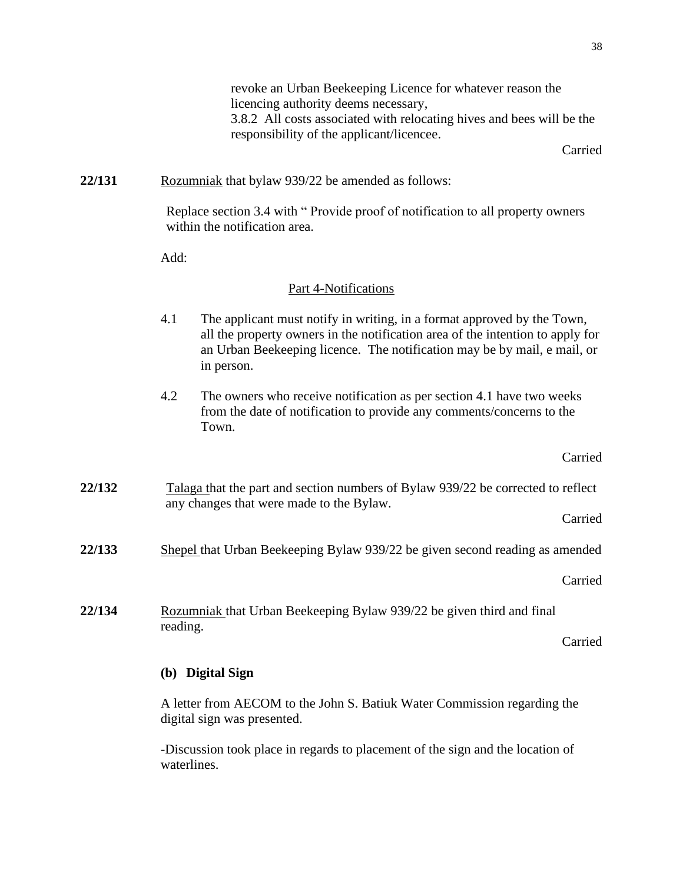revoke an Urban Beekeeping Licence for whatever reason the licencing authority deems necessary, 3.8.2 All costs associated with relocating hives and bees will be the responsibility of the applicant/licencee.

Carried

## **22/131** Rozumniak that bylaw 939/22 be amended as follows:

Replace section 3.4 with " Provide proof of notification to all property owners within the notification area.

Add:

## Part 4-Notifications

- 4.1 The applicant must notify in writing, in a format approved by the Town, all the property owners in the notification area of the intention to apply for an Urban Beekeeping licence. The notification may be by mail, e mail, or in person.
- 4.2 The owners who receive notification as per section 4.1 have two weeks from the date of notification to provide any comments/concerns to the Town.

Carried

**22/132** Talaga that the part and section numbers of Bylaw 939/22 be corrected to reflect any changes that were made to the Bylaw.

Carried

**22/133** Shepel that Urban Beekeeping Bylaw 939/22 be given second reading as amended

Carried

**22/134** Rozumniak that Urban Beekeeping Bylaw 939/22 be given third and final reading.

Carried

## **(b) Digital Sign**

A letter from AECOM to the John S. Batiuk Water Commission regarding the digital sign was presented.

-Discussion took place in regards to placement of the sign and the location of waterlines.